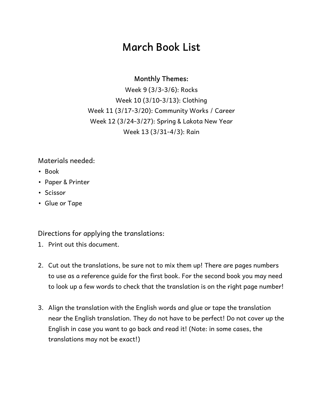### **March Book List**

#### **Monthly Themes:**

Week 9 (3/3-3/6): Rocks Week 10 (3/10-3/13): Clothing Week 11 (3/17-3/20): Community Works / Career Week 12 (3/24-3/27): Spring & Lakota New Year Week 13 (3/31-4/3): Rain

#### Materials needed:

- Book
- Paper & Printer
- Scissor
- Glue or Tape

Directions for applying the translations:

- 1. Print out this document.
- 2. Cut out the translations, be sure not to mix them up! There are pages numbers to use as a reference guide for the first book. For the second book you may need to look up a few words to check that the translation is on the right page number!
- 3. Align the translation with the English words and glue or tape the translation near the English translation. They do not have to be perfect! Do not cover up the English in case you want to go back and read it! (Note: in some cases, the translations may not be exact!)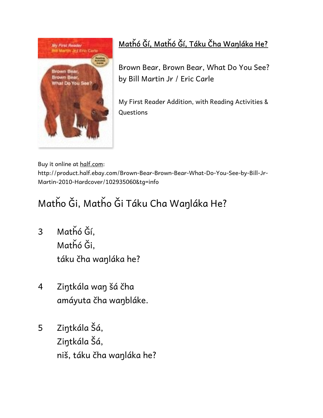

### **Matȟó Ǧí, Matȟó Ǧí, Táku Čha Waŋláka He?**

Brown Bear, Brown Bear, What Do You See? by Bill Martin Jr / Eric Carle

My First Reader Addition, with Reading Activities & Questions

Buy it online at half.com:

http://product.half.ebay.com/Brown-Bear-Brown-Bear-What-Do-You-See-by-Bill-Jr-Martin-2010-Hardcover/102935060&tg=info

# Matȟo Ǧi, Matȟo Ǧi Táku Cha Waŋláka He?

- 3 Matȟó Ğí, Matȟó Ği, táku čha waŋláka he?
- 4 Ziŋtkála waŋ šá čha amáyuta čha waŋbláke.
- 5 Ziŋtkála Šá, Ziŋtkála Šá, niš, táku čha waŋláka he?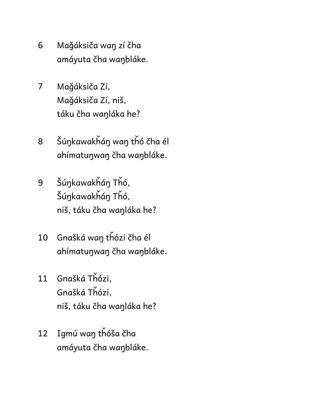- 6 Maǧáksiča waŋ zí čha amáyuta čha waŋbláke.
- 7 Maǧáksiča Zí, Maǧáksiča Zí, niš, táku čha waŋláka he?
- 8 Šúŋkawakȟáŋ waŋ tȟó čha él ahímatuŋwaŋ čha waŋbláke.
- 9 Šúŋkawakȟáŋ Tȟó, Šúŋkawakȟáŋ Tȟó, niš, táku čha waŋláka he?
- 10 Gnašká waŋ tȟózi čha él ahímatuŋwaŋ čha waŋbláke.
- 11 Gnašká Tȟózi, Gnašká Tȟózi, niš, táku čha waŋláka he?
- 12 Igmú waŋ tȟóša čha amáyuta čha waŋbláke.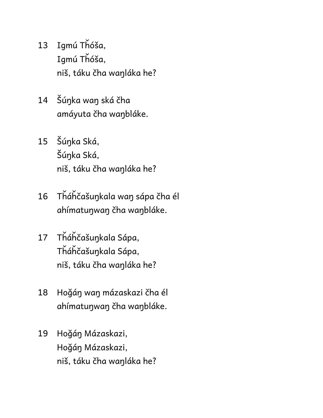- 13 Igmú Tȟóša, Igmú Tȟóša, niš, táku čha waŋláka he?
- 14 Šúŋka waŋ ská čha amáyuta čha waŋbláke.
- 15 Šúŋka Ská, Šúŋka Ská, niš, táku čha waŋláka he?
- 16 Tȟáȟčašuŋkala waŋ sápa čha él ahímatuŋwaŋ čha waŋbláke.
- 17 Tȟáȟčašuŋkala Sápa, Tȟáȟčašuŋkala Sápa, niš, táku čha waŋláka he?
- 18 Hoǧáŋ waŋ mázaskazi čha él ahímatuŋwaŋ čha waŋbláke.
- 19 Hoǧáŋ Mázaskazi, Hoǧáŋ Mázaskazi, niš, táku čha waŋláka he?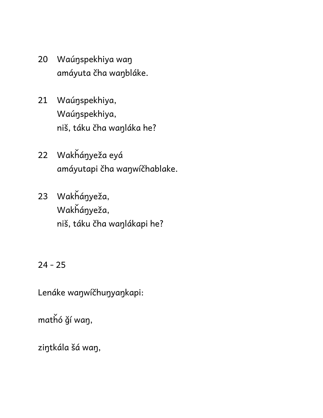- 20 Waúŋspekhiya waŋ amáyuta čha waŋbláke.
- 21 Waúŋspekhiya, Waúŋspekhiya, niš, táku čha waŋláka he?
- 22 Wakȟáŋyeža eyá amáyutapi čha waŋwíčhablake.
- 23 Wakȟáŋyeža, Wakȟáŋyeža, niš, táku čha waŋlákapi he?

24 - 25

Lenáke waŋwíčhuŋyaŋkapi:

matȟó ǧí waŋ,

ziŋtkála šá waŋ,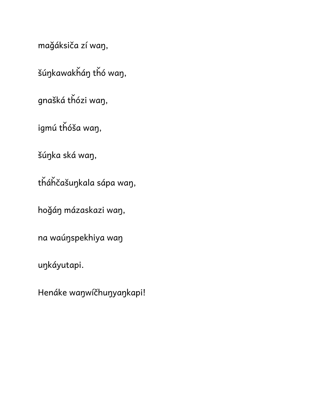maǧáksiča zí waŋ,

šúŋkawakȟáŋ tȟó waŋ,

gnašká tȟózi waŋ,

igmú tȟóša waŋ,

šúŋka ská waŋ,

tȟáȟčašuŋkala sápa waŋ,

hoǧáŋ mázaskazi waŋ,

na waúŋspekhiya waŋ

uŋkáyutapi.

Henáke waŋwíčhuŋyaŋkapi!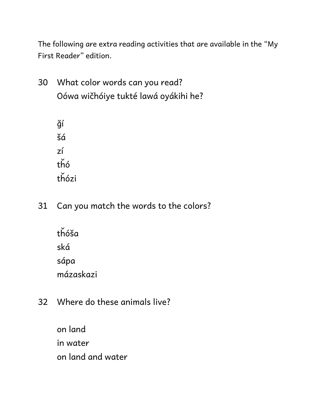The following are extra reading activities that are available in the "My First Reader" edition.

30 What color words can you read? Oówa wičhóiye tukté lawá oyákihi he?

> ǧí šá zí tȟó tȟózi

31 Can you match the words to the colors?

 tȟóša ská sápa mázaskazi

32 Where do these animals live?

 on land in water on land and water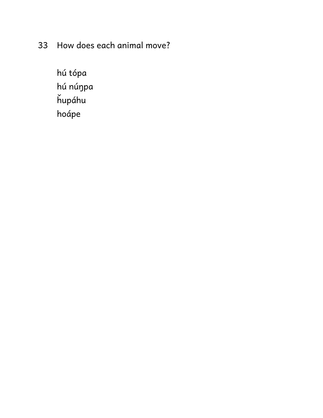33 How does each animal move?

 hú tópa hú núŋpa ȟupáhu hoápe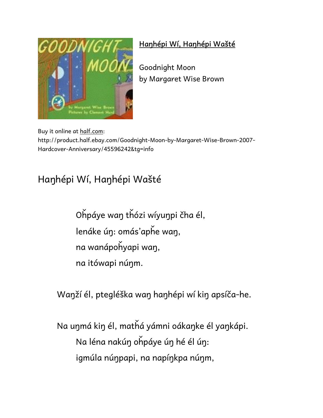

#### **Haŋhépi Wí, Haŋhépi Wašté**

Goodnight Moon by Margaret Wise Brown

Buy it online at half.com:

http://product.half.ebay.com/Goodnight-Moon-by-Margaret-Wise-Brown-2007- Hardcover-Anniversary/45596242&tg=info

## Haŋhépi Wí, Haŋhépi Wašté

 Oȟpáye waŋ tȟózi wíyuŋpi čha él, lenáke úŋ: omás'apȟe waŋ, na wanápoȟyapi waŋ, na itówapi núŋm.

Waŋží él, ptegléška waŋ haŋhépi wí kiŋ apsíča-he.

 Na uŋmá kiŋ él, matȟá yámni oákaŋke él yaŋkápi. Na léna nakúŋ oȟpáye úŋ hé él úŋ: igmúla núŋpapi, na napíŋkpa núŋm,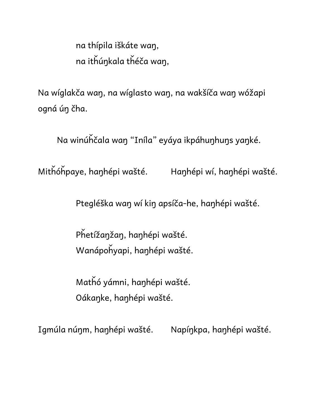na thípila iškáte waŋ, na itȟúŋkala tȟéča waŋ,

Na wíglakča waŋ, na wíglasto waŋ, na wakšíča waŋ wóžapi ogná úŋ čha.

Na winúȟčala waŋ "Iníla" eyáya ikpáhuŋhuŋs yaŋké.

Mitȟóȟpaye, haŋhépi wašté. Haŋhépi wí, haŋhépi wašté.

Ptegléška waŋ wí kiŋ apsíča-he, haŋhépi wašté.

 Pȟetížaŋžaŋ, haŋhépi wašté. Wanápoȟyapi, haŋhépi wašté.

 Matȟó yámni, haŋhépi wašté. Oákaŋke, haŋhépi wašté.

Igmúla núŋm, haŋhépi wašté. Napíŋkpa, haŋhépi wašté.